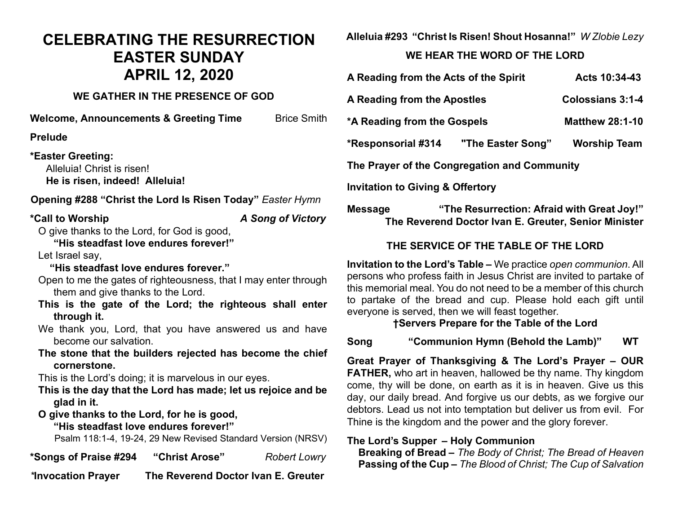### **CELEBRATING THE RESURRECTION EASTER SUNDAY APRIL 12, 2020**

#### **WE GATHER IN THE PRESENCE OF GOD**

**Welcome, Announcements & Greeting Time** Brice Smith

**Prelude** 

#### **\*Easter Greeting:**

Alleluia! Christ is risen! **He is risen, indeed! Alleluia!**

#### **Opening #288 "Christ the Lord Is Risen Today"** *Easter Hymn*

#### **\*Call to Worship** *A Song of Victory*

O give thanks to the Lord, for God is good,

**"His steadfast love endures forever!"**

Let Israel say,

#### **"His steadfast love endures forever."**

Open to me the gates of righteousness, that I may enter through them and give thanks to the Lord.

- **This is the gate of the Lord; the righteous shall enter through it.**
- We thank you, Lord, that you have answered us and have become our salvation.
- **The stone that the builders rejected has become the chief cornerstone.**

This is the Lord's doing; it is marvelous in our eyes.

- **This is the day that the Lord has made; let us rejoice and be glad in it.**
- **O give thanks to the Lord, for he is good,**
	- **"His steadfast love endures forever!"**

Psalm 118:1-4, 19-24, 29 New Revised Standard Version (NRSV)

**\*Songs of Praise #294 "Christ Arose"** *Robert Lowry*

*\****Invocation Prayer The Reverend Doctor Ivan E. Greuter**

**Alleluia #293 "Christ Is Risen! Shout Hosanna!"** *W Zlobie Lezy*

#### **WE HEAR THE WORD OF THE LORD**

| A Reading from the Acts of the Spirit        |                   | Acts 10:34-43           |
|----------------------------------------------|-------------------|-------------------------|
| A Reading from the Apostles                  |                   | <b>Colossians 3:1-4</b> |
| *A Reading from the Gospels                  |                   | <b>Matthew 28:1-10</b>  |
| *Responsorial #314                           | "The Easter Song" | <b>Worship Team</b>     |
| The Prayer of the Congregation and Community |                   |                         |
| <b>Invitation to Giving &amp; Offertory</b>  |                   |                         |

#### **Message "The Resurrection: Afraid with Great Joy!" The Reverend Doctor Ivan E. Greuter, Senior Minister**

#### **THE SERVICE OF THE TABLE OF THE LORD**

**Invitation to the Lord's Table –** We practice *open communion*. All persons who profess faith in Jesus Christ are invited to partake of this memorial meal. You do not need to be a member of this church to partake of the bread and cup. Please hold each gift until everyone is served, then we will feast together.

#### **†Servers Prepare for the Table of the Lord**

**Song "Communion Hymn (Behold the Lamb)" WT**

**Great Prayer of Thanksgiving & The Lord's Prayer – OUR FATHER,** who art in heaven, hallowed be thy name. Thy kingdom come, thy will be done, on earth as it is in heaven. Give us this day, our daily bread. And forgive us our debts, as we forgive our debtors. Lead us not into temptation but deliver us from evil. For Thine is the kingdom and the power and the glory forever.

#### **The Lord's Supper – Holy Communion**

 **Breaking of Bread –** *The Body of Christ; The Bread of Heaven*  **Passing of the Cup –** *The Blood of Christ; The Cup of Salvation*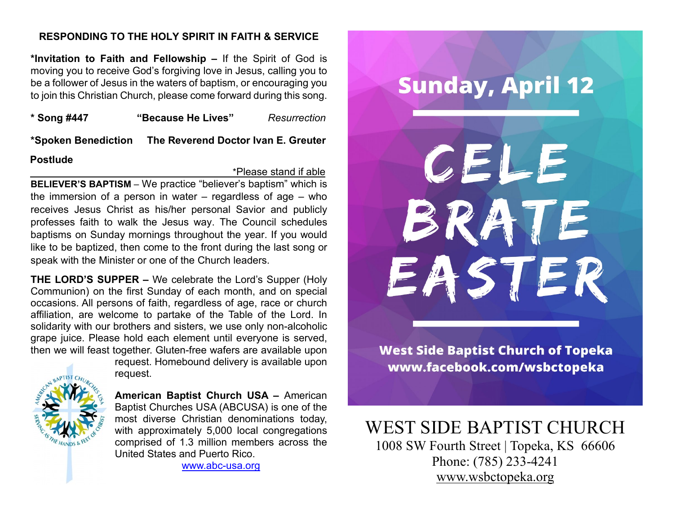#### **RESPONDING TO THE HOLY SPIRIT IN FAITH & SERVICE**

**\*Invitation to Faith and Fellowship –** If the Spirit of God is moving you to receive God's forgiving love in Jesus, calling you to be a follower of Jesus in the waters of baptism, or encouraging you to join this Christian Church, please come forward during this song.

**\* Song #447 "Because He Lives"** *Resurrection*

**\*Spoken Benediction The Reverend Doctor Ivan E. Greuter**

#### **Postlude**

\*Please stand if able

**BELIEVER'S BAPTISM** – We practice "believer's baptism" which is the immersion of a person in water – regardless of age – who receives Jesus Christ as his/her personal Savior and publicly professes faith to walk the Jesus way. The Council schedules baptisms on Sunday mornings throughout the year. If you would like to be baptized, then come to the front during the last song or speak with the Minister or one of the Church leaders.

**THE LORD'S SUPPER –** We celebrate the Lord's Supper (Holy Communion) on the first Sunday of each month, and on special occasions. All persons of faith, regardless of age, race or church affiliation, are welcome to partake of the Table of the Lord. In solidarity with our brothers and sisters, we use only non-alcoholic grape juice. Please hold each element until everyone is served, then we will feast together. Gluten-free wafers are available upon



request. Homebound delivery is available upon request.

**American Baptist Church USA –** American Baptist Churches USA (ABCUSA) is one of the most diverse Christian denominations today, with approximately 5,000 local congregations comprised of 1.3 million members across the United States and Puerto Rico.

[www.abc-usa.org](http://www.abc-usa.org/)

# **Sunday, April 12** CELE ATE EASTER

**West Side Baptist Church of Topeka** www.facebook.com/wsbctopeka

## WEST SIDE BAPTIST CHURCH<br>1008 SW Fourth Street | Topeka, KS 66606

Phone: (785) 233-4241 [www.wsbctopeka.org](http://www.wsbctopeka.org/)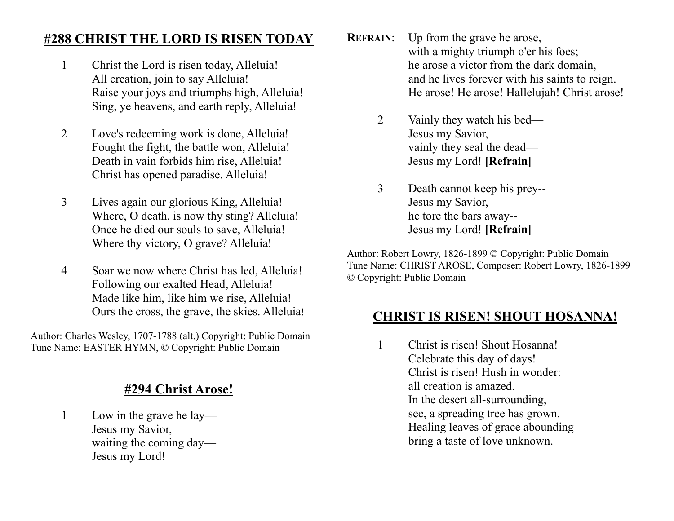#### **#288 CHRIST THE LORD IS RISEN TODAY**

- 1 Christ the Lord is risen today, Alleluia! All creation, join to say Alleluia! Raise your joys and triumphs high, Alleluia! Sing, ye heavens, and earth reply, Alleluia!
- 2 Love's redeeming work is done, Alleluia! Fought the fight, the battle won, Alleluia! Death in vain forbids him rise, Alleluia! Christ has opened paradise. Alleluia!
- 3 Lives again our glorious King, Alleluia! Where, O death, is now thy sting? Alleluia! Once he died our souls to save, Alleluia! Where thy victory, O grave? Alleluia!
- 4 Soar we now where Christ has led, Alleluia! Following our exalted Head, Alleluia! Made like him, like him we rise, Alleluia! Ours the cross, the grave, the skies. Alleluia!

Author: Charles Wesley, 1707-1788 (alt.) Copyright: Public Domain Tune Name: EASTER HYMN, © Copyright: Public Domain

#### **#294 Christ Arose!**

1 Low in the grave he lay— Jesus my Savior, waiting the coming day— Jesus my Lord!

- **REFRAIN:** Up from the grave he arose, with a mighty triumph o'er his foes; he arose a victor from the dark domain, and he lives forever with his saints to reign. He arose! He arose! Hallelujah! Christ arose!
	- 2 Vainly they watch his bed— Jesus my Savior, vainly they seal the dead— Jesus my Lord! **[Refrain]**
	- 3 Death cannot keep his prey-- Jesus my Savior, he tore the bars away-- Jesus my Lord! **[Refrain]**

Author: Robert Lowry, 1826-1899 © Copyright: Public Domain Tune Name: CHRIST AROSE, Composer: Robert Lowry, 1826-1899 © Copyright: Public Domain

#### **CHRIST IS RISEN! SHOUT HOSANNA!**

1 Christ is risen! Shout Hosanna! Celebrate this day of days! Christ is risen! Hush in wonder: all creation is amazed. In the desert all-surrounding, see, a spreading tree has grown. Healing leaves of grace abounding bring a taste of love unknown.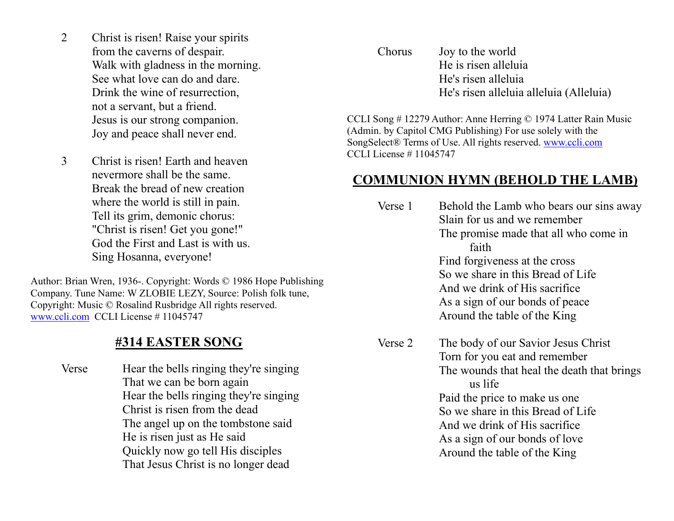- 2 Christ is risen! Raise your spirits from the caverns of despair. Walk with gladness in the morning. See what love can do and dare. Drink the wine of resurrection, not a servant, but a friend. Jesus is our strong companion. Joy and peace shall never end.
- 3 Christ is risen! Earth and heaven nevermore shall be the same. Break the bread of new creation where the world is still in pain. Tell its grim, demonic chorus: "Christ is risen! Get you gone!" God the First and Last is with us. Sing Hosanna, everyone!

Author: Brian Wren, 1936-. Copyright: Words © 1986 Hope Publishing Company. Tune Name: W ZLOBIE LEZY, Source: Polish folk tune, Copyright: Music © Rosalind Rusbridge All rights reserved. [www.ccli.com](http://www.ccli.com/) CCLI License # 11045747

#### **#314 EASTER SONG**

Verse Hear the bells ringing they're singing That we can be born again Hear the bells ringing they're singing Christ is risen from the dead The angel up on the tombstone said He is risen just as He said Quickly now go tell His disciples That Jesus Christ is no longer dead

Chorus Joy to the world He is risen alleluia He's risen alleluia He's risen alleluia alleluia (Alleluia)

CCLI Song # 12279 Author: Anne Herring © 1974 Latter Rain Music (Admin. by Capitol CMG Publishing) For use solely with the SongSelect® Terms of Use. All rights reserved. [www.ccli.com](http://www.ccli.com/) CCLI License # 11045747

#### **COMMUNION HYMN (BEHOLD THE LAMB)**

| Verse 1 | Behold the Lamb who bears our sins away<br>Slain for us and we remember<br>The promise made that all who come in<br>faith<br>Find forgiveness at the cross<br>So we share in this Bread of Life<br>And we drink of His sacrifice<br>As a sign of our bonds of peace<br>Around the table of the King    |
|---------|--------------------------------------------------------------------------------------------------------------------------------------------------------------------------------------------------------------------------------------------------------------------------------------------------------|
| Verse 2 | The body of our Savior Jesus Christ<br>Torn for you eat and remember<br>The wounds that heal the death that brings<br>us life<br>Paid the price to make us one<br>So we share in this Bread of Life<br>And we drink of His sacrifice<br>As a sign of our bonds of love<br>Around the table of the King |